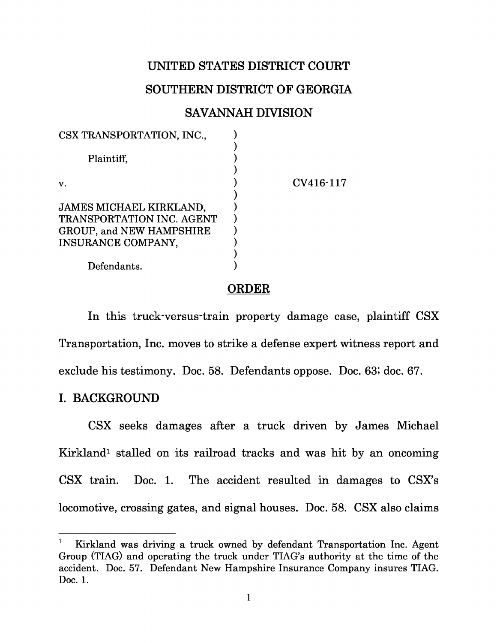# **UNITED STATES DISTRICT COURT**

# **SOUTHERN DISTRICT OF GEORGIA**

# **SAVANNAH DIVISION**

| CSX TRANSPORTATION, INC.,                                    |           |
|--------------------------------------------------------------|-----------|
| Plaintiff.                                                   |           |
| v.                                                           | CV416-117 |
| JAMES MICHAEL KIRKLAND,                                      |           |
| <b>TRANSPORTATION INC. AGENT</b><br>GROUP, and NEW HAMPSHIRE |           |
| INSURANCE COMPANY,                                           |           |
| Defendants.                                                  |           |

#### **ORDER**

In this truck-versus-train property damage case, plaintiff CSX Transportation, Inc. moves to strike a defense expert witness report and exclude his testimony. Doc. 58. Defendants oppose. Doc. 63; doc. 67.

### **I. BACKGROUND**

CSX seeks damages after a truck driven by James Michael Kirkland<sup>1</sup> stalled on its railroad tracks and was hit by an oncoming CSX train. Doc. 1. The accident resulted in damages to CSX's locomotive, crossing gates, and signal houses. Doc. 58. CSX also claims

<sup>1</sup>Kirkland was driving a truck owned by defendant Transportation Inc. Agent Group (TIAG) and operating the truck under TIAG's authority at the time of the accident. Doc. 57. Defendant New Hampshire Insurance Company insures TIAG. Doc. 1.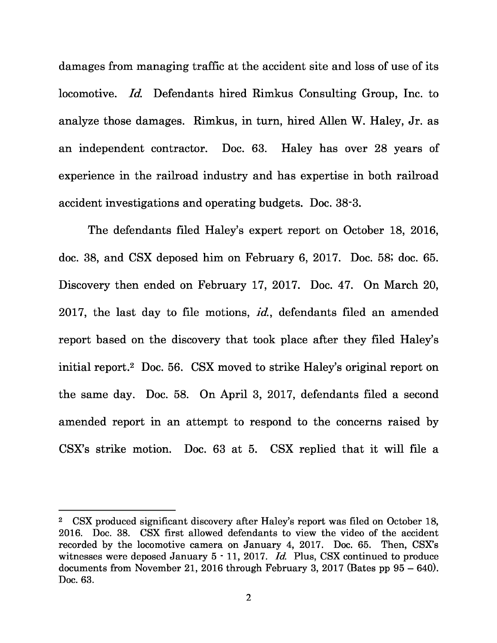damages from managing traffic at the accident site and loss of use of its locomotive. Id. Defendants hired Rimkus Consulting Group, Inc. to analyze those damages. Rimkus, in turn, hired Allen W. Haley, Jr. as an independent contractor. Doc. 63. Haley has over 28 years of experience in the railroad industry and has expertise in both railroad accident investigations and operating budgets. Doc. 38-3.

The defendants filed Haley's expert report on October 18, 2016, doc. 38, and CSX deposed him on February 6, 2017. Doc. 58; doc. 65. Discovery then ended on February 17, 2017. Doc. 47. On March 20, 2017, the last day to file motions, *id.*, defendants filed an amended report based on the discovery that took place after they filed Haley's initial report.<sup>2</sup> Doc. 56. CSX moved to strike Haley's original report on the same day. Doc. 58. On April 3, 2017, defendants filed a second amended report in an attempt to respond to the concerns raised by CSX's strike motion. Doc. 63 at 5. CSX replied that it will file a

<sup>&</sup>lt;sup>2</sup> CSX produced significant discovery after Haley's report was filed on October 18, 2016. Doc. 38. CSX first allowed defendants to view the video of the accident recorded by the locomotive camera on January 4, 2017. Doc. 65. Then, CSX's witnesses were deposed January 5 - 11, 2017. Id. Plus, CSX continued to produce documents from November 21, 2016 through February 3, 2017 (Bates pp 95 – 640). Doc. 63.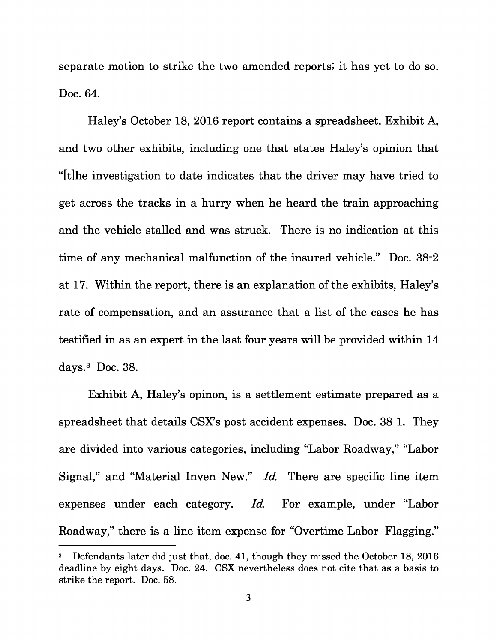separate motion to strike the two amended reports; it has yet to do so. Doc. 64.

Haley's October 18, 2016 report contains a spreadsheet, Exhibit A, and two other exhibits, including one that states Haley's opinion that "[t]he investigation to date indicates that the driver may have tried to get across the tracks in a hurry when he heard the train approaching and the vehicle stalled and was struck. There is no indication at this time of any mechanical malfunction of the insured vehicle." Doc. 38-2 at 17. Within the report, there is an explanation of the exhibits, Haley's rate of compensation, and an assurance that a list of the cases he has testified in as an expert in the last four years will be provided within 14 days. $3$  Doc. 38.

Exhibit A, Haley's opinon, is a settlement estimate prepared as a spreadsheet that details CSX's post-accident expenses. Doc. 38-1. They are divided into various categories, including "Labor Roadway," "Labor Signal," and "Material Inven New." Id. There are specific line item expenses under each category. Id. For example, under "Labor Roadway," there is a line item expense for "Overtime Labor–Flagging."

<sup>3</sup>Defendants later did just that, doc. 41, though they missed the October 18, 2016 deadline by eight days. Doc. 24. CSX nevertheless does not cite that as a basis to strike the report. Doc. 58.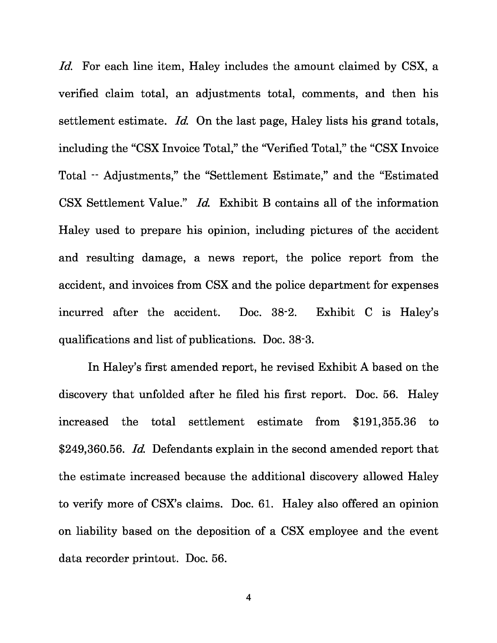Id. For each line item, Haley includes the amount claimed by CSX, a verified claim total, an adjustments total, comments, and then his settlement estimate. Id. On the last page, Haley lists his grand totals, including the "CSX Invoice Total," the "Verified Total," the "CSX Invoice Total -- Adjustments," the "Settlement Estimate," and the "Estimated CSX Settlement Value." Id. Exhibit B contains all of the information Haley used to prepare his opinion, including pictures of the accident and resulting damage, a news report, the police report from the accident, and invoices from CSX and the police department for expenses incurred after the accident. Doc. 38-2. Exhibit C is Haley's qualifications and list of publications. Doc. 38-3.

In Haley's first amended report, he revised Exhibit A based on the discovery that unfolded after he filed his first report. Doc. 56. Haley increased the total settlement estimate from \$191,355.36 to \$249,360.56. Id. Defendants explain in the second amended report that the estimate increased because the additional discovery allowed Haley to verify more of CSX's claims. Doc. 61. Haley also offered an opinion on liability based on the deposition of a CSX employee and the event data recorder printout. Doc. 56.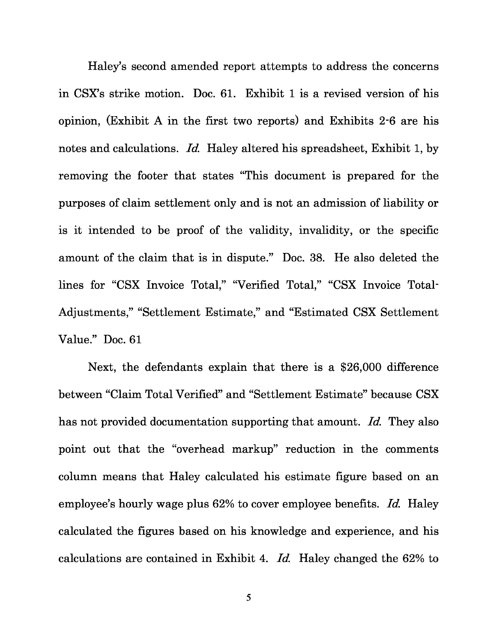Haley's second amended report attempts to address the concerns in CSX's strike motion. Doc. 61. Exhibit 1 is a revised version of his opinion, (Exhibit A in the first two reports) and Exhibits 2-6 are his notes and calculations. Id. Haley altered his spreadsheet, Exhibit 1, by removing the footer that states "This document is prepared for the purposes of claim settlement only and is not an admission of liability or is it intended to be proof of the validity, invalidity, or the specific amount of the claim that is in dispute." Doc. 38. He also deleted the lines for "CSX Invoice Total," "Verified Total," "CSX Invoice Total-Adjustments," "Settlement Estimate," and "Estimated CSX Settlement Value." Doc. 61

Next, the defendants explain that there is a \$26,000 difference between "Claim Total Verified" and "Settlement Estimate" because CSX has not provided documentation supporting that amount. Id. They also point out that the "overhead markup" reduction in the comments column means that Haley calculated his estimate figure based on an employee's hourly wage plus 62% to cover employee benefits. Id. Haley calculated the figures based on his knowledge and experience, and his calculations are contained in Exhibit 4. Id. Haley changed the 62% to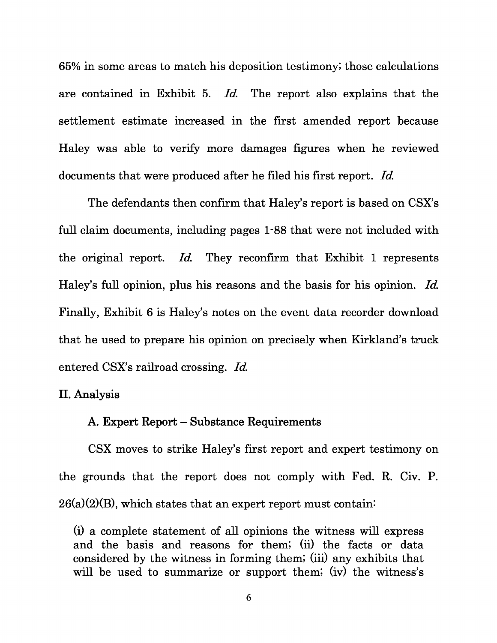65% in some areas to match his deposition testimony; those calculations are contained in Exhibit 5. Id. The report also explains that the settlement estimate increased in the first amended report because Haley was able to verify more damages figures when he reviewed documents that were produced after he filed his first report. Id.

The defendants then confirm that Haley's report is based on CSX's full claim documents, including pages 1-88 that were not included with the original report. Id. They reconfirm that Exhibit 1 represents Haley's full opinion, plus his reasons and the basis for his opinion. Id. Finally, Exhibit 6 is Haley's notes on the event data recorder download that he used to prepare his opinion on precisely when Kirkland's truck entered CSX's railroad crossing. Id.

# **II. Analysis**

#### **A. Expert Report – Substance Requirements**

CSX moves to strike Haley's first report and expert testimony on the grounds that the report does not comply with Fed. R. Civ. P.  $26(a)(2)(B)$ , which states that an expert report must contain:

(i) a complete statement of all opinions the witness will express and the basis and reasons for them; (ii) the facts or data considered by the witness in forming them; (iii) any exhibits that will be used to summarize or support them; (iv) the witness's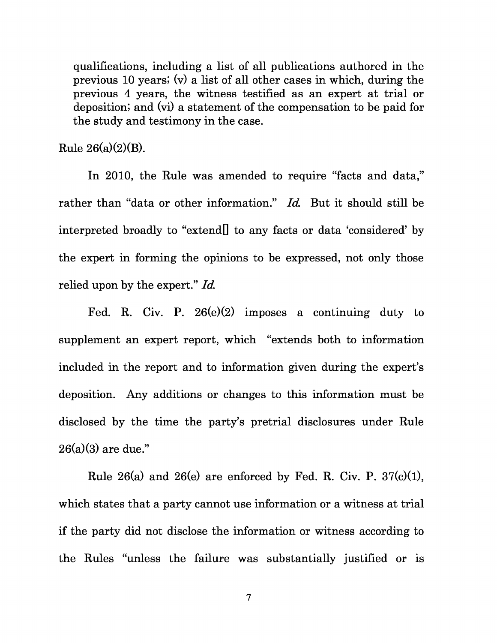qualifications, including a list of all publications authored in the previous 10 years; (v) a list of all other cases in which, during the previous 4 years, the witness testified as an expert at trial or deposition; and (vi) a statement of the compensation to be paid for the study and testimony in the case.

Rule  $26(a)(2)(B)$ .

In 2010, the Rule was amended to require "facts and data," rather than "data or other information." Id. But it should still be interpreted broadly to "extend[] to any facts or data 'considered' by the expert in forming the opinions to be expressed, not only those relied upon by the expert." Id.

Fed. R. Civ. P. 26(e)(2) imposes a continuing duty to supplement an expert report, which "extends both to information included in the report and to information given during the expert's deposition. Any additions or changes to this information must be disclosed by the time the party's pretrial disclosures under Rule  $26(a)(3)$  are due."

Rule 26(a) and 26(e) are enforced by Fed. R. Civ. P. 37(c)(1), which states that a party cannot use information or a witness at trial if the party did not disclose the information or witness according to the Rules "unless the failure was substantially justified or is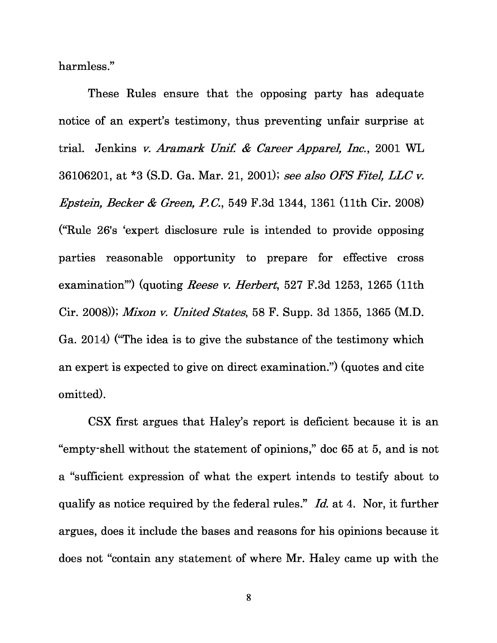harmless."

These Rules ensure that the opposing party has adequate notice of an expert's testimony, thus preventing unfair surprise at trial. Jenkins v. Aramark Unif. & Career Apparel, Inc., 2001 WL 36106201, at \*3 (S.D. Ga. Mar. 21, 2001); see also OFS Fitel, LLC v. Epstein, Becker & Green, P.C. , 549 F.3d 1344, 1361 (11th Cir. 2008) ("Rule 26's 'expert disclosure rule is intended to provide opposing parties reasonable opportunity to prepare for effective cross examination") (quoting *Reese v. Herbert*, 527 F.3d 1253, 1265 (11th Cir. 2008)); Mixon v. United States, 58 F. Supp. 3d 1355, 1365 (M.D. Ga. 2014) ("The idea is to give the substance of the testimony which an expert is expected to give on direct examination.") (quotes and cite omitted).

CSX first argues that Haley's report is deficient because it is an "empty-shell without the statement of opinions," doc 65 at 5, and is not a "sufficient expression of what the expert intends to testify about to qualify as notice required by the federal rules." Id. at 4. Nor, it further argues, does it include the bases and reasons for his opinions because it does not "contain any statement of where Mr. Haley came up with the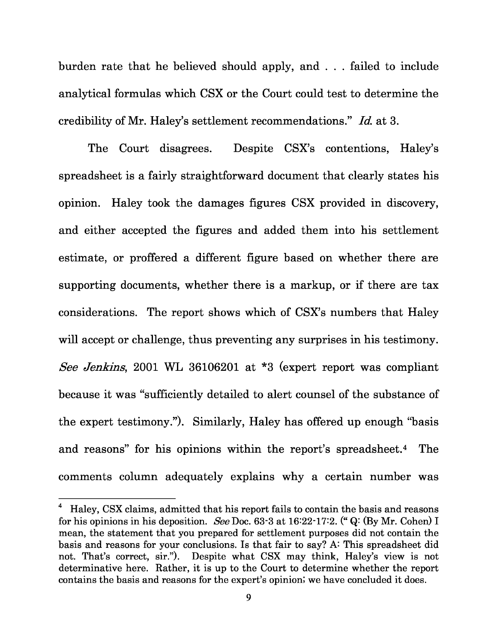burden rate that he believed should apply, and . . . failed to include analytical formulas which CSX or the Court could test to determine the credibility of Mr. Haley's settlement recommendations." Id. at 3.

The Court disagrees. Despite CSX's contentions, Haley's spreadsheet is a fairly straightforward document that clearly states his opinion. Haley took the damages figures CSX provided in discovery, and either accepted the figures and added them into his settlement estimate, or proffered a different figure based on whether there are supporting documents, whether there is a markup, or if there are tax considerations. The report shows which of CSX's numbers that Haley will accept or challenge, thus preventing any surprises in his testimony. See Jenkins, 2001 WL 36106201 at \*3 (expert report was compliant because it was "sufficiently detailed to alert counsel of the substance of the expert testimony."). Similarly, Haley has offered up enough "basis and reasons" for his opinions within the report's spreadsheet.<sup>4</sup> The comments column adequately explains why a certain number was

<sup>4</sup> Haley, CSX claims, admitted that his report fails to contain the basis and reasons for his opinions in his deposition. See Doc. 63-3 at 16:22-17:2. (" Q: (By Mr. Cohen) I mean, the statement that you prepared for settlement purposes did not contain the basis and reasons for your conclusions. Is that fair to say? A:This spreadsheet did not. That's correct, sir."). Despite what CSX may think, Haley's view is not determinative here. Rather, it is up to the Court to determine whether the report contains the basis and reasons for the expert's opinion; we have concluded it does.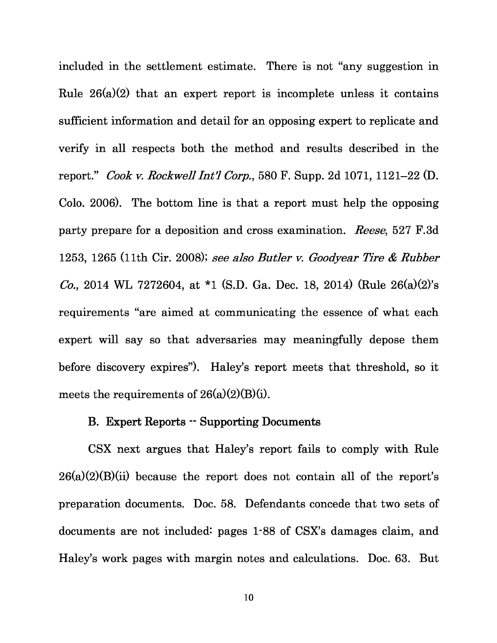included in the settlement estimate. There is not "any suggestion in Rule  $26(a)(2)$  that an expert report is incomplete unless it contains sufficient information and detail for an opposing expert to replicate and verify in all respects both the method and results described in the report." Cook v. Rockwell Int'l Corp. , 580 F. Supp. 2d 1071, 1121–22 (D. Colo. 2006). The bottom line is that a report must help the opposing party prepare for a deposition and cross examination. Reese, 527 F.3d 1253, 1265 (11th Cir. 2008); see also Butler v. Goodyear Tire & Rubber Co., 2014 WL 7272604, at \*1 (S.D. Ga. Dec. 18, 2014) (Rule 26(a)(2)'s requirements "are aimed at communicating the essence of what each expert will say so that adversaries may meaningfully depose them before discovery expires"). Haley's report meets that threshold, so it meets the requirements of  $26(a)(2)(B)(i)$ .

#### **B. Expert Reports -- Supporting Documents**

CSX next argues that Haley's report fails to comply with Rule  $26(a)(2)(B)(ii)$  because the report does not contain all of the report's preparation documents. Doc. 58. Defendants concede that two sets of documents are not included: pages 1-88 of CSX's damages claim, and Haley's work pages with margin notes and calculations. Doc. 63. But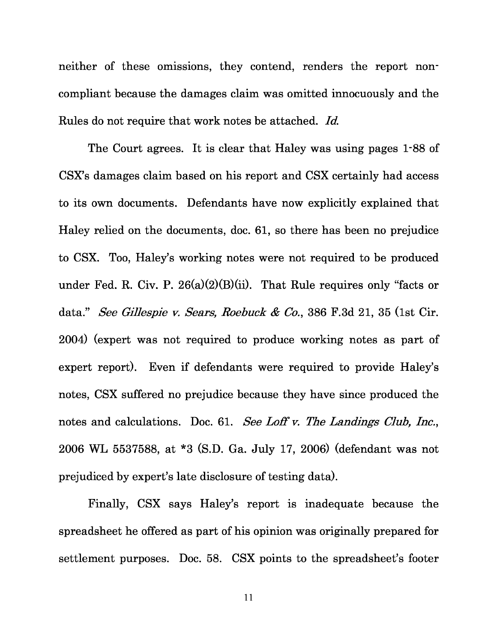neither of these omissions, they contend, renders the report noncompliant because the damages claim was omitted innocuously and the Rules do not require that work notes be attached. Id.

The Court agrees. It is clear that Haley was using pages 1-88 of CSX's damages claim based on his report and CSX certainly had access to its own documents. Defendants have now explicitly explained that Haley relied on the documents, doc. 61, so there has been no prejudice to CSX. Too, Haley's working notes were not required to be produced under Fed. R. Civ. P. 26(a)(2)(B)(ii). That Rule requires only "facts or data." See Gillespie v. Sears, Roebuck & Co., 386 F.3d 21, 35 (1st Cir. 2004) (expert was not required to produce working notes as part of expert report). Even if defendants were required to provide Haley's notes, CSX suffered no prejudice because they have since produced the notes and calculations. Doc. 61. See Loff v. The Landings Club, Inc., 2006 WL 5537588, at \*3 (S.D. Ga. July 17, 2006) (defendant was not prejudiced by expert's late disclosure of testing data).

Finally, CSX says Haley's report is inadequate because the spreadsheet he offered as part of his opinion was originally prepared for settlement purposes. Doc. 58. CSX points to the spreadsheet's footer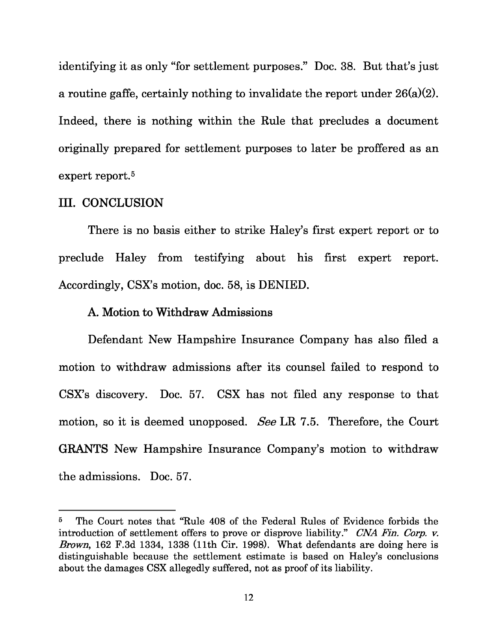identifying it as only "for settlement purposes." Doc. 38. But that's just a routine gaffe, certainly nothing to invalidate the report under 26(a)(2). Indeed, there is nothing within the Rule that precludes a document originally prepared for settlement purposes to later be proffered as an expert report.<sup>5</sup>

#### **III. CONCLUSION**

There is no basis either to strike Haley's first expert report or to preclude Haley from testifying about his first expert report. Accordingly, CSX's motion, doc. 58, is DENIED.

#### **A. Motion to Withdraw Admissions**

Defendant New Hampshire Insurance Company has also filed a motion to withdraw admissions after its counsel failed to respond to CSX's discovery. Doc. 57. CSX has not filed any response to that motion, so it is deemed unopposed. See LR 7.5. Therefore, the Court **GRANTS** New Hampshire Insurance Company's motion to withdraw the admissions. Doc. 57.

<sup>&</sup>lt;sup>5</sup> The Court notes that "Rule 408 of the Federal Rules of Evidence forbids the introduction of settlement offers to prove or disprove liability." CNA Fin. Corp. v. Brown, 162 F.3d 1334, 1338 (11th Cir. 1998). What defendants are doing here is distinguishable because the settlement estimate is based on Haley's conclusions about the damages CSX allegedly suffered, not as proof of its liability.